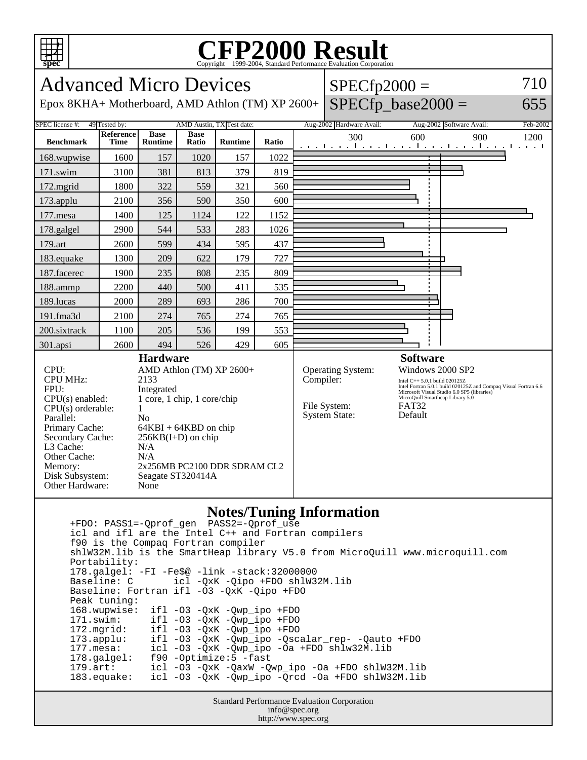

## Copyright ©1999-2004, Standard Performance Evaluation Corporation

| <b>Advanced Micro Devices</b><br>$SPECfp2000 =$                                                                                                                                                                                                                                                                                                                                                                                                                                  |                          |                               |                      |                |       |           |                                                           |                                                                                                                                                                                                                                                       |                                                     | 710         |
|----------------------------------------------------------------------------------------------------------------------------------------------------------------------------------------------------------------------------------------------------------------------------------------------------------------------------------------------------------------------------------------------------------------------------------------------------------------------------------|--------------------------|-------------------------------|----------------------|----------------|-------|-----------|-----------------------------------------------------------|-------------------------------------------------------------------------------------------------------------------------------------------------------------------------------------------------------------------------------------------------------|-----------------------------------------------------|-------------|
| $SPECfp\_base2000 =$<br>Epox 8KHA+ Motherboard, AMD Athlon (TM) XP 2600+                                                                                                                                                                                                                                                                                                                                                                                                         |                          |                               |                      |                |       |           |                                                           |                                                                                                                                                                                                                                                       |                                                     | 655         |
| SPEC license #:<br>49 Tested by:<br>AMD Austin, TX Test date:                                                                                                                                                                                                                                                                                                                                                                                                                    |                          |                               |                      |                |       |           | Aug-2002 Hardware Avail:                                  |                                                                                                                                                                                                                                                       | Aug-2002 Software Avail:                            | Feb-2002    |
| <b>Benchmark</b>                                                                                                                                                                                                                                                                                                                                                                                                                                                                 | Reference<br><b>Time</b> | <b>Base</b><br><b>Runtime</b> | <b>Base</b><br>Ratio | <b>Runtime</b> | Ratio |           | 300                                                       | 600                                                                                                                                                                                                                                                   | 900<br>والمتعمل وبالمتعمل والمتعمل وبالمتعمل والمتع | 1200<br>. 1 |
| 168.wupwise                                                                                                                                                                                                                                                                                                                                                                                                                                                                      | 1600                     | 157                           | 1020                 | 157            | 1022  |           |                                                           |                                                                                                                                                                                                                                                       |                                                     |             |
| 171.swim                                                                                                                                                                                                                                                                                                                                                                                                                                                                         | 3100                     | 381                           | 813                  | 379            | 819   |           |                                                           |                                                                                                                                                                                                                                                       |                                                     |             |
| 172.mgrid                                                                                                                                                                                                                                                                                                                                                                                                                                                                        | 1800                     | 322                           | 559                  | 321            | 560   |           |                                                           |                                                                                                                                                                                                                                                       |                                                     |             |
| 173.applu                                                                                                                                                                                                                                                                                                                                                                                                                                                                        | 2100                     | 356                           | 590                  | 350            | 600   |           |                                                           |                                                                                                                                                                                                                                                       |                                                     |             |
| $177$ .mesa                                                                                                                                                                                                                                                                                                                                                                                                                                                                      | 1400                     | 125                           | 1124                 | 122            | 1152  |           |                                                           |                                                                                                                                                                                                                                                       |                                                     |             |
| 178.galgel                                                                                                                                                                                                                                                                                                                                                                                                                                                                       | 2900                     | 544                           | 533                  | 283            | 1026  |           |                                                           |                                                                                                                                                                                                                                                       |                                                     |             |
| 179.art                                                                                                                                                                                                                                                                                                                                                                                                                                                                          | 2600                     | 599                           | 434                  | 595            | 437   |           |                                                           |                                                                                                                                                                                                                                                       |                                                     |             |
| 183.equake                                                                                                                                                                                                                                                                                                                                                                                                                                                                       | 1300                     | 209                           | 622                  | 179            | 727   |           |                                                           |                                                                                                                                                                                                                                                       |                                                     |             |
| 187.facerec                                                                                                                                                                                                                                                                                                                                                                                                                                                                      | 1900                     | 235                           | 808                  | 235            | 809   |           |                                                           |                                                                                                                                                                                                                                                       |                                                     |             |
| 188.ammp                                                                                                                                                                                                                                                                                                                                                                                                                                                                         | 2200                     | 440                           | 500                  | 411            | 535   |           |                                                           |                                                                                                                                                                                                                                                       |                                                     |             |
| 189.lucas                                                                                                                                                                                                                                                                                                                                                                                                                                                                        | 2000                     | 289                           | 693                  | 286            | 700   |           |                                                           |                                                                                                                                                                                                                                                       |                                                     |             |
| 191.fma3d                                                                                                                                                                                                                                                                                                                                                                                                                                                                        | 2100                     | 274                           | 765                  | 274            | 765   |           |                                                           |                                                                                                                                                                                                                                                       |                                                     |             |
| 200.sixtrack                                                                                                                                                                                                                                                                                                                                                                                                                                                                     | 1100                     | 205                           | 536                  | 199            | 553   |           |                                                           |                                                                                                                                                                                                                                                       |                                                     |             |
| 301.apsi                                                                                                                                                                                                                                                                                                                                                                                                                                                                         | 2600                     | 494                           | 526                  | 429            | 605   |           |                                                           |                                                                                                                                                                                                                                                       |                                                     |             |
| <b>Hardware</b><br>CPU:<br>AMD Athlon (TM) XP 2600+<br><b>CPU MHz:</b><br>2133<br>FPU:<br>Integrated<br>1 core, 1 chip, 1 core/chip<br>$CPU(s)$ enabled:<br>$CPU(s)$ orderable:<br>$\mathbf{1}$<br>Parallel:<br>N <sub>o</sub><br>Primary Cache:<br>$64KBI + 64KBD$ on chip<br>Secondary Cache:<br>$256KB(I+D)$ on chip<br>L3 Cache:<br>N/A<br>Other Cache:<br>N/A<br>2x256MB PC2100 DDR SDRAM CL2<br>Memory:<br>Disk Subsystem:<br>Seagate ST320414A<br>Other Hardware:<br>None |                          |                               |                      |                |       | Compiler: | Operating System:<br>File System:<br><b>System State:</b> | <b>Software</b><br>Windows 2000 SP2<br>Intel C++ 5.0.1 build 020125Z<br>Intel Fortran 5.0.1 build 020125Z and Compaq Visual Fortran 6.6<br>Microsoft Visual Studio 6.0 SP5 (libraries)<br>MicroQuill Smartheap Library 5.0<br><b>FAT32</b><br>Default |                                                     |             |
| <b>Notes/Tuning Information</b>                                                                                                                                                                                                                                                                                                                                                                                                                                                  |                          |                               |                      |                |       |           |                                                           |                                                                                                                                                                                                                                                       |                                                     |             |

## **Notes/Tuning Information**

 +FDO: PASS1=-Qprof\_gen PASS2=-Qprof\_use icl and ifl are the Intel C++ and Fortran compilers f90 is the Compaq Fortran compiler shlW32M.lib is the SmartHeap library V5.0 from MicroQuill www.microquill.com Portability: 178.galgel: -FI -Fe\$@ -link -stack:32000000 Baseline: C icl -QxK -Qipo +FDO shlW32M.lib Baseline: Fortran ifl -O3 -QxK -Qipo +FDO Peak tuning: 168.wupwise: ifl -O3 -QxK -Qwp\_ipo +FDO 171.swim: ifl -O3 -QxK -Qwp\_ipo +FDO 172.mgrid: ifl -O3 -QxK -Qwp\_ipo +FDO 173.applu: ifl -O3 -QxK -Qwp\_ipo -Qscalar\_rep- -Qauto +FDO<br>177.mesa: icl -O3 -QxK -Qwp\_ipo -Oa +FDO shlw32M.lib 177.mesa: icl -O3 -QxK -Qwp\_ipo -Oa +FDO shlw32M.lib 178.galgel: f90 -Optimize:5 -fast 179.art: icl -O3 -QxK -QaxW -Qwp\_ipo -Oa +FDO shlW32M.lib 183.equake: icl -O3 -QxK -Qwp\_ipo -Qrcd -Oa +FDO shlW32M.lib

Standard Performance Evaluation Corporation info@spec.org http://www.spec.org